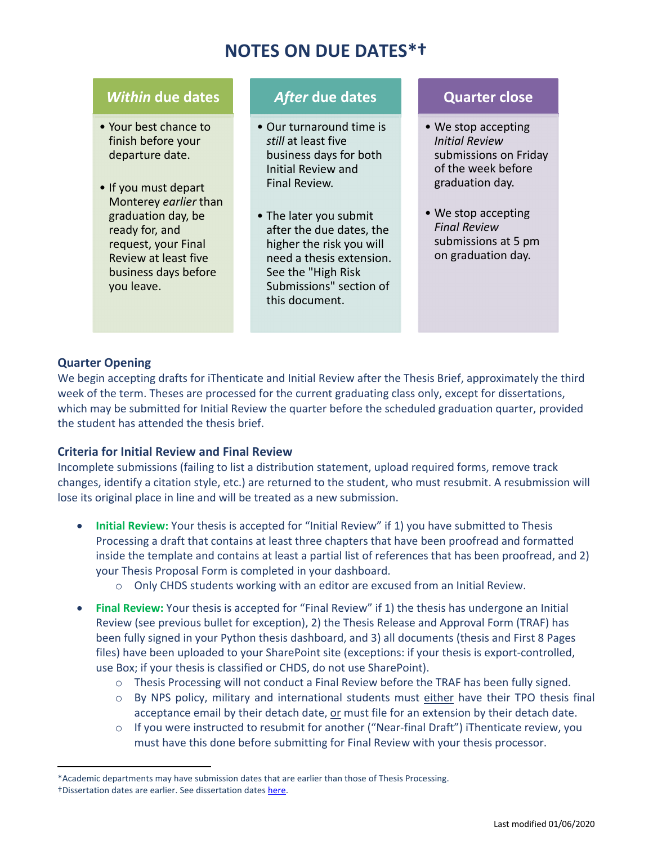# **NOTES ON DUE DATES\*†**

# *Within* **due dates**

- Your best chance to finish before your departure date.
- If you must depart Monterey *earlier* than graduation day, be ready for, and request, your Final Review at least five business days before you leave.

# *After* **due dates**

- Our turnaround time is *still* at least five business days for both Initial Review and Final Review.
- The later you submit after the due dates, the higher the risk you will need a thesis extension. See the "High Risk Submissions" section of this document.

# **Quarter close**

- We stop accepting *Initial Review* submissions on Friday of the week before graduation day.
- We stop accepting *Final Review* submissions at 5 pm on graduation day.

## **Quarter Opening**

We begin accepting drafts for iThenticate and Initial Review after the Thesis Brief, approximately the third week of the term. Theses are processed for the current graduating class only, except for dissertations, which may be submitted for Initial Review the quarter before the scheduled graduation quarter, provided the student has attended the thesis brief.

## **Criteria for Initial Review and Final Review**

Incomplete submissions (failing to list a distribution statement, upload required forms, remove track changes, identify a citation style, etc.) are returned to the student, who must resubmit. A resubmission will lose its original place in line and will be treated as a new submission.

- **Initial Review:** Your thesis is accepted for "Initial Review" if 1) you have submitted to Thesis Processing a draft that contains at least three chapters that have been proofread and formatted inside the template and contains at least a partial list of references that has been proofread, and 2) your Thesis Proposal Form is completed in your dashboard.
	- o Only CHDS students working with an editor are excused from an Initial Review.
- **Final Review:** Your thesis is accepted for "Final Review" if 1) the thesis has undergone an Initial Review (see previous bullet for exception), 2) the Thesis Release and Approval Form (TRAF) has been fully signed in your Python thesis dashboard, and 3) all documents (thesis and First 8 Pages files) have been uploaded to your SharePoint site (exceptions: if your thesis is export‐controlled, use Box; if your thesis is classified or CHDS, do not use SharePoint).
	- $\circ$  Thesis Processing will not conduct a Final Review before the TRAF has been fully signed.
	- o By NPS policy, military and international students must either have their TPO thesis final acceptance email by their detach date, or must file for an extension by their detach date.
	- o If you were instructed to resubmit for another ("Near‐final Draft") iThenticate review, you must have this done before submitting for Final Review with your thesis processor.

<sup>\*</sup>Academic departments may have submission dates that are earlier than those of Thesis Processing. †Dissertation dates are earlier. See dissertation dates here.